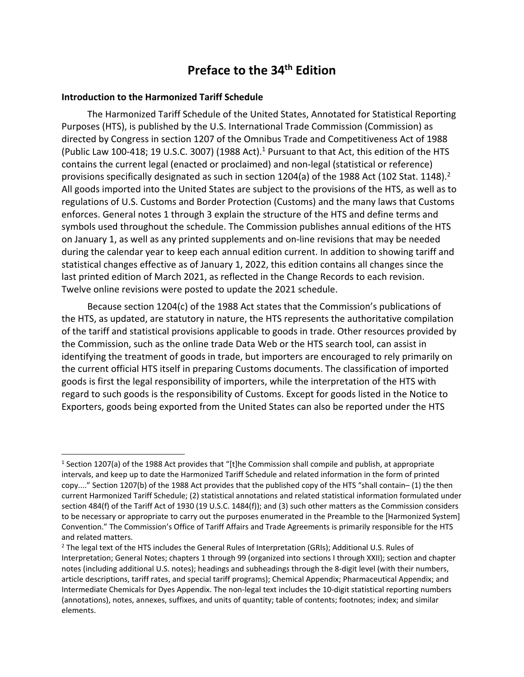# **Preface to the 34th Edition**

### **Introduction to the Harmonized Tariff Schedule**

The Harmonized Tariff Schedule of the United States, Annotated for Statistical Reporting Purposes (HTS), is published by the U.S. International Trade Commission (Commission) as directed by Congress in section 1207 of the Omnibus Trade and Competitiveness Act of 1988 (Public Law 100-418; 19 U.S.C. 3007) (1988 Act).<sup>1</sup> Pursuant to that Act, this edition of the HTS contains the current legal (enacted or proclaimed) and non‐legal (statistical or reference) provisions specifically designated as such in section 1204(a) of the 1988 Act (102 Stat. 1148).<sup>2</sup> All goods imported into the United States are subject to the provisions of the HTS, as well as to regulations of U.S. Customs and Border Protection (Customs) and the many laws that Customs enforces. General notes 1 through 3 explain the structure of the HTS and define terms and symbols used throughout the schedule. The Commission publishes annual editions of the HTS on January 1, as well as any printed supplements and on‐line revisions that may be needed during the calendar year to keep each annual edition current. In addition to showing tariff and statistical changes effective as of January 1, 2022, this edition contains all changes since the last printed edition of March 2021, as reflected in the Change Records to each revision. Twelve online revisions were posted to update the 2021 schedule.

Because section 1204(c) of the 1988 Act states that the Commission's publications of the HTS, as updated, are statutory in nature, the HTS represents the authoritative compilation of the tariff and statistical provisions applicable to goods in trade. Other resources provided by the Commission, such as the online trade Data Web or the HTS search tool, can assist in identifying the treatment of goods in trade, but importers are encouraged to rely primarily on the current official HTS itself in preparing Customs documents. The classification of imported goods is first the legal responsibility of importers, while the interpretation of the HTS with regard to such goods is the responsibility of Customs. Except for goods listed in the Notice to Exporters, goods being exported from the United States can also be reported under the HTS

<sup>&</sup>lt;sup>1</sup> Section 1207(a) of the 1988 Act provides that "[t]he Commission shall compile and publish, at appropriate intervals, and keep up to date the Harmonized Tariff Schedule and related information in the form of printed copy...." Section 1207(b) of the 1988 Act provides that the published copy of the HTS "shall contain– (1) the then current Harmonized Tariff Schedule; (2) statistical annotations and related statistical information formulated under section 484(f) of the Tariff Act of 1930 (19 U.S.C. 1484(f)); and (3) such other matters as the Commission considers to be necessary or appropriate to carry out the purposes enumerated in the Preamble to the [Harmonized System] Convention." The Commission's Office of Tariff Affairs and Trade Agreements is primarily responsible for the HTS and related matters.

<sup>&</sup>lt;sup>2</sup> The legal text of the HTS includes the General Rules of Interpretation (GRIs); Additional U.S. Rules of Interpretation; General Notes; chapters 1 through 99 (organized into sections I through XXII); section and chapter notes (including additional U.S. notes); headings and subheadings through the 8‐digit level (with their numbers, article descriptions, tariff rates, and special tariff programs); Chemical Appendix; Pharmaceutical Appendix; and Intermediate Chemicals for Dyes Appendix. The non‐legal text includes the 10‐digit statistical reporting numbers (annotations), notes, annexes, suffixes, and units of quantity; table of contents; footnotes; index; and similar elements.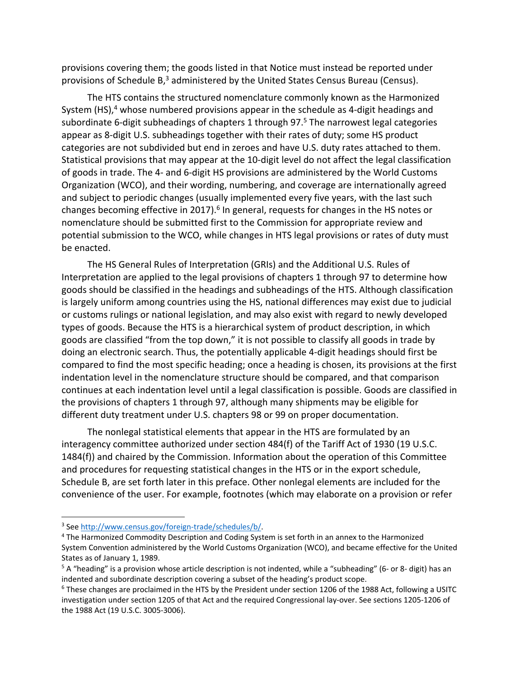provisions covering them; the goods listed in that Notice must instead be reported under provisions of Schedule  $B<sub>3</sub>$ <sup>3</sup> administered by the United States Census Bureau (Census).

The HTS contains the structured nomenclature commonly known as the Harmonized System (HS), $4$  whose numbered provisions appear in the schedule as 4-digit headings and subordinate 6-digit subheadings of chapters 1 through 97.<sup>5</sup> The narrowest legal categories appear as 8‐digit U.S. subheadings together with their rates of duty; some HS product categories are not subdivided but end in zeroes and have U.S. duty rates attached to them. Statistical provisions that may appear at the 10‐digit level do not affect the legal classification of goods in trade. The 4‐ and 6‐digit HS provisions are administered by the World Customs Organization (WCO), and their wording, numbering, and coverage are internationally agreed and subject to periodic changes (usually implemented every five years, with the last such changes becoming effective in 2017).<sup>6</sup> In general, requests for changes in the HS notes or nomenclature should be submitted first to the Commission for appropriate review and potential submission to the WCO, while changes in HTS legal provisions or rates of duty must be enacted.

The HS General Rules of Interpretation (GRIs) and the Additional U.S. Rules of Interpretation are applied to the legal provisions of chapters 1 through 97 to determine how goods should be classified in the headings and subheadings of the HTS. Although classification is largely uniform among countries using the HS, national differences may exist due to judicial or customs rulings or national legislation, and may also exist with regard to newly developed types of goods. Because the HTS is a hierarchical system of product description, in which goods are classified "from the top down," it is not possible to classify all goods in trade by doing an electronic search. Thus, the potentially applicable 4‐digit headings should first be compared to find the most specific heading; once a heading is chosen, its provisions at the first indentation level in the nomenclature structure should be compared, and that comparison continues at each indentation level until a legal classification is possible. Goods are classified in the provisions of chapters 1 through 97, although many shipments may be eligible for different duty treatment under U.S. chapters 98 or 99 on proper documentation.

The nonlegal statistical elements that appear in the HTS are formulated by an interagency committee authorized under section 484(f) of the Tariff Act of 1930 (19 U.S.C. 1484(f)) and chaired by the Commission. Information about the operation of this Committee and procedures for requesting statistical changes in the HTS or in the export schedule, Schedule B, are set forth later in this preface. Other nonlegal elements are included for the convenience of the user. For example, footnotes (which may elaborate on a provision or refer

<sup>3</sup> See http://www.census.gov/foreign‐trade/schedules/b/.

<sup>4</sup> The Harmonized Commodity Description and Coding System is set forth in an annex to the Harmonized System Convention administered by the World Customs Organization (WCO), and became effective for the United States as of January 1, 1989.

 $5$  A "heading" is a provision whose article description is not indented, while a "subheading" (6- or 8- digit) has an indented and subordinate description covering a subset of the heading's product scope.

 $6$  These changes are proclaimed in the HTS by the President under section 1206 of the 1988 Act, following a USITC investigation under section 1205 of that Act and the required Congressional lay‐over. See sections 1205‐1206 of the 1988 Act (19 U.S.C. 3005‐3006).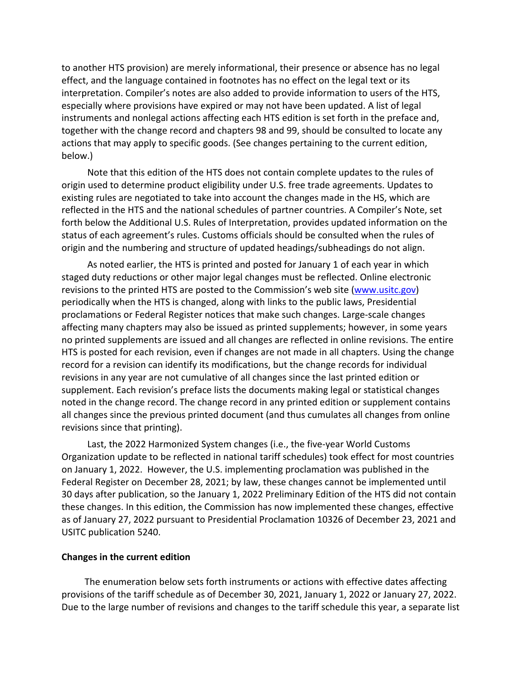to another HTS provision) are merely informational, their presence or absence has no legal effect, and the language contained in footnotes has no effect on the legal text or its interpretation. Compiler's notes are also added to provide information to users of the HTS, especially where provisions have expired or may not have been updated. A list of legal instruments and nonlegal actions affecting each HTS edition is set forth in the preface and, together with the change record and chapters 98 and 99, should be consulted to locate any actions that may apply to specific goods. (See changes pertaining to the current edition, below.)

Note that this edition of the HTS does not contain complete updates to the rules of origin used to determine product eligibility under U.S. free trade agreements. Updates to existing rules are negotiated to take into account the changes made in the HS, which are reflected in the HTS and the national schedules of partner countries. A Compiler's Note, set forth below the Additional U.S. Rules of Interpretation, provides updated information on the status of each agreement's rules. Customs officials should be consulted when the rules of origin and the numbering and structure of updated headings/subheadings do not align.

As noted earlier, the HTS is printed and posted for January 1 of each year in which staged duty reductions or other major legal changes must be reflected. Online electronic revisions to the printed HTS are posted to the Commission's web site (www.usitc.gov) periodically when the HTS is changed, along with links to the public laws, Presidential proclamations or Federal Register notices that make such changes. Large‐scale changes affecting many chapters may also be issued as printed supplements; however, in some years no printed supplements are issued and all changes are reflected in online revisions. The entire HTS is posted for each revision, even if changes are not made in all chapters. Using the change record for a revision can identify its modifications, but the change records for individual revisions in any year are not cumulative of all changes since the last printed edition or supplement. Each revision's preface lists the documents making legal or statistical changes noted in the change record. The change record in any printed edition or supplement contains all changes since the previous printed document (and thus cumulates all changes from online revisions since that printing).

Last, the 2022 Harmonized System changes (i.e., the five‐year World Customs Organization update to be reflected in national tariff schedules) took effect for most countries on January 1, 2022. However, the U.S. implementing proclamation was published in the Federal Register on December 28, 2021; by law, these changes cannot be implemented until 30 days after publication, so the January 1, 2022 Preliminary Edition of the HTS did not contain these changes. In this edition, the Commission has now implemented these changes, effective as of January 27, 2022 pursuant to Presidential Proclamation 10326 of December 23, 2021 and USITC publication 5240.

### **Changes in the current edition**

The enumeration below sets forth instruments or actions with effective dates affecting provisions of the tariff schedule as of December 30, 2021, January 1, 2022 or January 27, 2022. Due to the large number of revisions and changes to the tariff schedule this year, a separate list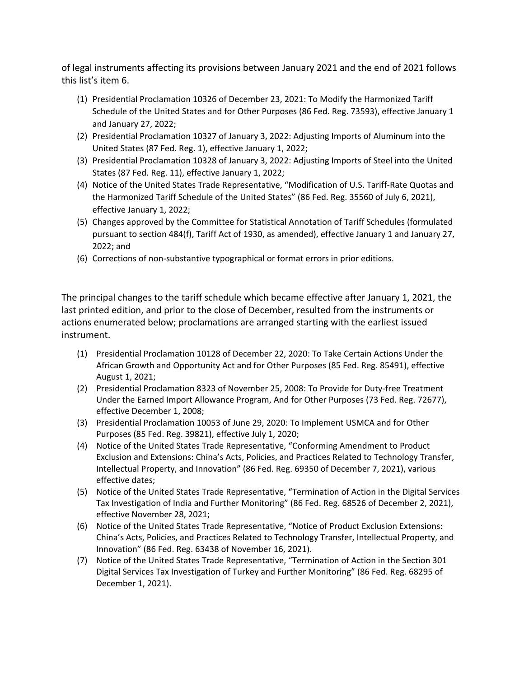of legal instruments affecting its provisions between January 2021 and the end of 2021 follows this list's item 6.

- (1) Presidential Proclamation 10326 of December 23, 2021: To Modify the Harmonized Tariff Schedule of the United States and for Other Purposes (86 Fed. Reg. 73593), effective January 1 and January 27, 2022;
- (2) Presidential Proclamation 10327 of January 3, 2022: Adjusting Imports of Aluminum into the United States (87 Fed. Reg. 1), effective January 1, 2022;
- (3) Presidential Proclamation 10328 of January 3, 2022: Adjusting Imports of Steel into the United States (87 Fed. Reg. 11), effective January 1, 2022;
- (4) Notice of the United States Trade Representative, "Modification of U.S. Tariff‐Rate Quotas and the Harmonized Tariff Schedule of the United States" (86 Fed. Reg. 35560 of July 6, 2021), effective January 1, 2022;
- (5) Changes approved by the Committee for Statistical Annotation of Tariff Schedules (formulated pursuant to section 484(f), Tariff Act of 1930, as amended), effective January 1 and January 27, 2022; and
- (6) Corrections of non‐substantive typographical or format errors in prior editions.

The principal changes to the tariff schedule which became effective after January 1, 2021, the last printed edition, and prior to the close of December, resulted from the instruments or actions enumerated below; proclamations are arranged starting with the earliest issued instrument.

- (1) Presidential Proclamation 10128 of December 22, 2020: To Take Certain Actions Under the African Growth and Opportunity Act and for Other Purposes (85 Fed. Reg. 85491), effective August 1, 2021;
- (2) Presidential Proclamation 8323 of November 25, 2008: To Provide for Duty‐free Treatment Under the Earned Import Allowance Program, And for Other Purposes (73 Fed. Reg. 72677), effective December 1, 2008;
- (3) Presidential Proclamation 10053 of June 29, 2020: To Implement USMCA and for Other Purposes (85 Fed. Reg. 39821), effective July 1, 2020;
- (4) Notice of the United States Trade Representative, "Conforming Amendment to Product Exclusion and Extensions: China's Acts, Policies, and Practices Related to Technology Transfer, Intellectual Property, and Innovation" (86 Fed. Reg. 69350 of December 7, 2021), various effective dates;
- (5) Notice of the United States Trade Representative, "Termination of Action in the Digital Services Tax Investigation of India and Further Monitoring" (86 Fed. Reg. 68526 of December 2, 2021), effective November 28, 2021;
- (6) Notice of the United States Trade Representative, "Notice of Product Exclusion Extensions: China's Acts, Policies, and Practices Related to Technology Transfer, Intellectual Property, and Innovation" (86 Fed. Reg. 63438 of November 16, 2021).
- (7) Notice of the United States Trade Representative, "Termination of Action in the Section 301 Digital Services Tax Investigation of Turkey and Further Monitoring" (86 Fed. Reg. 68295 of December 1, 2021).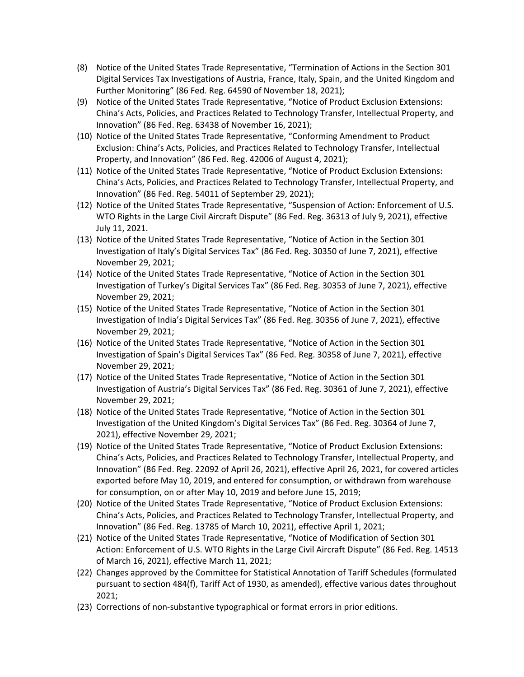- (8) Notice of the United States Trade Representative, "Termination of Actions in the Section 301 Digital Services Tax Investigations of Austria, France, Italy, Spain, and the United Kingdom and Further Monitoring" (86 Fed. Reg. 64590 of November 18, 2021);
- (9) Notice of the United States Trade Representative, "Notice of Product Exclusion Extensions: China's Acts, Policies, and Practices Related to Technology Transfer, Intellectual Property, and Innovation" (86 Fed. Reg. 63438 of November 16, 2021);
- (10) Notice of the United States Trade Representative, "Conforming Amendment to Product Exclusion: China's Acts, Policies, and Practices Related to Technology Transfer, Intellectual Property, and Innovation" (86 Fed. Reg. 42006 of August 4, 2021);
- (11) Notice of the United States Trade Representative, "Notice of Product Exclusion Extensions: China's Acts, Policies, and Practices Related to Technology Transfer, Intellectual Property, and Innovation" (86 Fed. Reg. 54011 of September 29, 2021);
- (12) Notice of the United States Trade Representative, "Suspension of Action: Enforcement of U.S. WTO Rights in the Large Civil Aircraft Dispute" (86 Fed. Reg. 36313 of July 9, 2021), effective July 11, 2021.
- (13) Notice of the United States Trade Representative, "Notice of Action in the Section 301 Investigation of Italy's Digital Services Tax" (86 Fed. Reg. 30350 of June 7, 2021), effective November 29, 2021;
- (14) Notice of the United States Trade Representative, "Notice of Action in the Section 301 Investigation of Turkey's Digital Services Tax" (86 Fed. Reg. 30353 of June 7, 2021), effective November 29, 2021;
- (15) Notice of the United States Trade Representative, "Notice of Action in the Section 301 Investigation of India's Digital Services Tax" (86 Fed. Reg. 30356 of June 7, 2021), effective November 29, 2021;
- (16) Notice of the United States Trade Representative, "Notice of Action in the Section 301 Investigation of Spain's Digital Services Tax" (86 Fed. Reg. 30358 of June 7, 2021), effective November 29, 2021;
- (17) Notice of the United States Trade Representative, "Notice of Action in the Section 301 Investigation of Austria's Digital Services Tax" (86 Fed. Reg. 30361 of June 7, 2021), effective November 29, 2021;
- (18) Notice of the United States Trade Representative, "Notice of Action in the Section 301 Investigation of the United Kingdom's Digital Services Tax" (86 Fed. Reg. 30364 of June 7, 2021), effective November 29, 2021;
- (19) Notice of the United States Trade Representative, "Notice of Product Exclusion Extensions: China's Acts, Policies, and Practices Related to Technology Transfer, Intellectual Property, and Innovation" (86 Fed. Reg. 22092 of April 26, 2021), effective April 26, 2021, for covered articles exported before May 10, 2019, and entered for consumption, or withdrawn from warehouse for consumption, on or after May 10, 2019 and before June 15, 2019;
- (20) Notice of the United States Trade Representative, "Notice of Product Exclusion Extensions: China's Acts, Policies, and Practices Related to Technology Transfer, Intellectual Property, and Innovation" (86 Fed. Reg. 13785 of March 10, 2021), effective April 1, 2021;
- (21) Notice of the United States Trade Representative, "Notice of Modification of Section 301 Action: Enforcement of U.S. WTO Rights in the Large Civil Aircraft Dispute" (86 Fed. Reg. 14513 of March 16, 2021), effective March 11, 2021;
- (22) Changes approved by the Committee for Statistical Annotation of Tariff Schedules (formulated pursuant to section 484(f), Tariff Act of 1930, as amended), effective various dates throughout 2021;
- (23) Corrections of non‐substantive typographical or format errors in prior editions.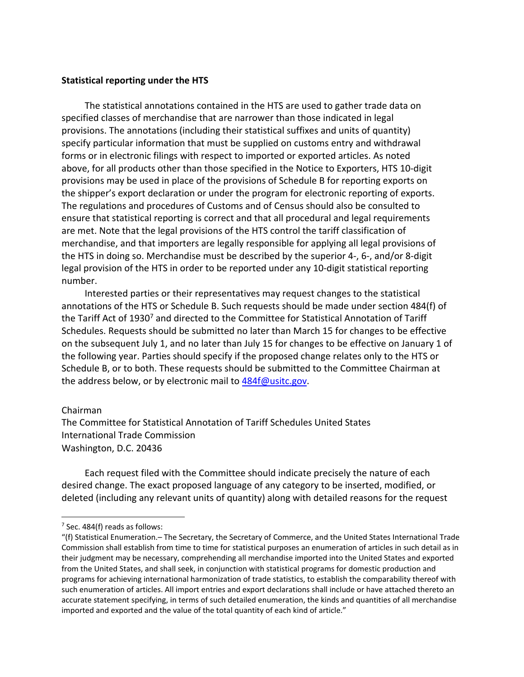#### **Statistical reporting under the HTS**

The statistical annotations contained in the HTS are used to gather trade data on specified classes of merchandise that are narrower than those indicated in legal provisions. The annotations (including their statistical suffixes and units of quantity) specify particular information that must be supplied on customs entry and withdrawal forms or in electronic filings with respect to imported or exported articles. As noted above, for all products other than those specified in the Notice to Exporters, HTS 10‐digit provisions may be used in place of the provisions of Schedule B for reporting exports on the shipper's export declaration or under the program for electronic reporting of exports. The regulations and procedures of Customs and of Census should also be consulted to ensure that statistical reporting is correct and that all procedural and legal requirements are met. Note that the legal provisions of the HTS control the tariff classification of merchandise, and that importers are legally responsible for applying all legal provisions of the HTS in doing so. Merchandise must be described by the superior 4‐, 6‐, and/or 8‐digit legal provision of the HTS in order to be reported under any 10‐digit statistical reporting number.

Interested parties or their representatives may request changes to the statistical annotations of the HTS or Schedule B. Such requests should be made under section 484(f) of the Tariff Act of 1930<sup>7</sup> and directed to the Committee for Statistical Annotation of Tariff Schedules. Requests should be submitted no later than March 15 for changes to be effective on the subsequent July 1, and no later than July 15 for changes to be effective on January 1 of the following year. Parties should specify if the proposed change relates only to the HTS or Schedule B, or to both. These requests should be submitted to the Committee Chairman at the address below, or by electronic mail to 484f@usitc.gov.

#### Chairman

The Committee for Statistical Annotation of Tariff Schedules United States International Trade Commission Washington, D.C. 20436

Each request filed with the Committee should indicate precisely the nature of each desired change. The exact proposed language of any category to be inserted, modified, or deleted (including any relevant units of quantity) along with detailed reasons for the request

 $<sup>7</sup>$  Sec. 484(f) reads as follows:</sup>

<sup>&</sup>quot;(f) Statistical Enumeration.– The Secretary, the Secretary of Commerce, and the United States International Trade Commission shall establish from time to time for statistical purposes an enumeration of articles in such detail as in their judgment may be necessary, comprehending all merchandise imported into the United States and exported from the United States, and shall seek, in conjunction with statistical programs for domestic production and programs for achieving international harmonization of trade statistics, to establish the comparability thereof with such enumeration of articles. All import entries and export declarations shall include or have attached thereto an accurate statement specifying, in terms of such detailed enumeration, the kinds and quantities of all merchandise imported and exported and the value of the total quantity of each kind of article."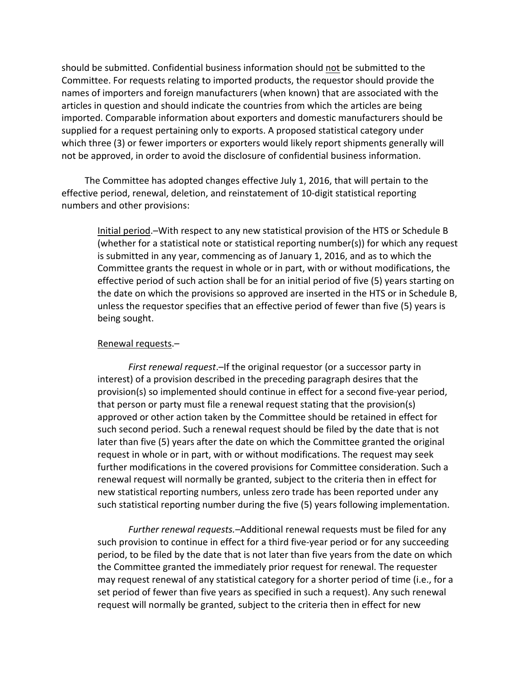should be submitted. Confidential business information should not be submitted to the Committee. For requests relating to imported products, the requestor should provide the names of importers and foreign manufacturers (when known) that are associated with the articles in question and should indicate the countries from which the articles are being imported. Comparable information about exporters and domestic manufacturers should be supplied for a request pertaining only to exports. A proposed statistical category under which three (3) or fewer importers or exporters would likely report shipments generally will not be approved, in order to avoid the disclosure of confidential business information.

The Committee has adopted changes effective July 1, 2016, that will pertain to the effective period, renewal, deletion, and reinstatement of 10‐digit statistical reporting numbers and other provisions:

Initial period.–With respect to any new statistical provision of the HTS or Schedule B (whether for a statistical note or statistical reporting number(s)) for which any request is submitted in any year, commencing as of January 1, 2016, and as to which the Committee grants the request in whole or in part, with or without modifications, the effective period of such action shall be for an initial period of five (5) years starting on the date on which the provisions so approved are inserted in the HTS or in Schedule B, unless the requestor specifies that an effective period of fewer than five (5) years is being sought.

### Renewal requests.–

*First renewal request*.–If the original requestor (or a successor party in interest) of a provision described in the preceding paragraph desires that the provision(s) so implemented should continue in effect for a second five‐year period, that person or party must file a renewal request stating that the provision(s) approved or other action taken by the Committee should be retained in effect for such second period. Such a renewal request should be filed by the date that is not later than five (5) years after the date on which the Committee granted the original request in whole or in part, with or without modifications. The request may seek further modifications in the covered provisions for Committee consideration. Such a renewal request will normally be granted, subject to the criteria then in effect for new statistical reporting numbers, unless zero trade has been reported under any such statistical reporting number during the five (5) years following implementation.

*Further renewal requests.–*Additional renewal requests must be filed for any such provision to continue in effect for a third five‐year period or for any succeeding period, to be filed by the date that is not later than five years from the date on which the Committee granted the immediately prior request for renewal. The requester may request renewal of any statistical category for a shorter period of time (i.e., for a set period of fewer than five years as specified in such a request). Any such renewal request will normally be granted, subject to the criteria then in effect for new